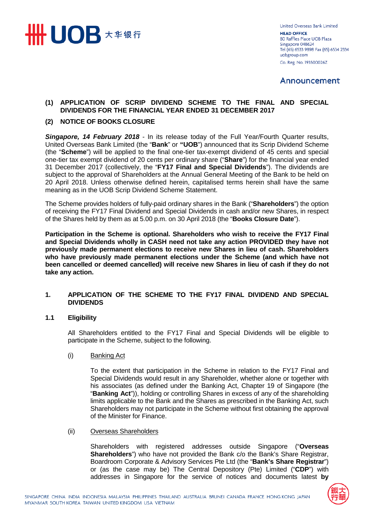

**United Overseas Bank Limited HEAD OFFICE** 80 Raffles Place UOB Plaza Singapore 048624 Tel (65) 6533 9898 Fax (65) 6534 2334 uobgroup.com Co. Reg. No. 193500026Z

# Announcement

## **(1) APPLICATION OF SCRIP DIVIDEND SCHEME TO THE FINAL AND SPECIAL DIVIDENDS FOR THE FINANCIAL YEAR ENDED 31 DECEMBER 2017**

## **(2) NOTICE OF BOOKS CLOSURE**

*Singapore, 14 February 2018* - In its release today of the Full Year/Fourth Quarter results, United Overseas Bank Limited (the "**Bank**" or **"UOB**") announced that its Scrip Dividend Scheme (the "**Scheme**") will be applied to the final one-tier tax-exempt dividend of 45 cents and special one-tier tax exempt dividend of 20 cents per ordinary share ("**Share**") for the financial year ended 31 December 2017 (collectively, the "**FY17 Final and Special Dividends**"). The dividends are subject to the approval of Shareholders at the Annual General Meeting of the Bank to be held on 20 April 2018. Unless otherwise defined herein, capitalised terms herein shall have the same meaning as in the UOB Scrip Dividend Scheme Statement.

The Scheme provides holders of fully-paid ordinary shares in the Bank ("**Shareholders**") the option of receiving the FY17 Final Dividend and Special Dividends in cash and/or new Shares, in respect of the Shares held by them as at 5.00 p.m. on 30 April 2018 (the "**Books Closure Date**").

**Participation in the Scheme is optional. Shareholders who wish to receive the FY17 Final and Special Dividends wholly in CASH need not take any action PROVIDED they have not previously made permanent elections to receive new Shares in lieu of cash. Shareholders who have previously made permanent elections under the Scheme (and which have not been cancelled or deemed cancelled) will receive new Shares in lieu of cash if they do not take any action.**

## **1. APPLICATION OF THE SCHEME TO THE FY17 FINAL DIVIDEND AND SPECIAL DIVIDENDS**

#### **1.1 Eligibility**

All Shareholders entitled to the FY17 Final and Special Dividends will be eligible to participate in the Scheme, subject to the following.

#### (i) Banking Act

To the extent that participation in the Scheme in relation to the FY17 Final and Special Dividends would result in any Shareholder, whether alone or together with his associates (as defined under the Banking Act, Chapter 19 of Singapore (the "**Banking Act**")), holding or controlling Shares in excess of any of the shareholding limits applicable to the Bank and the Shares as prescribed in the Banking Act, such Shareholders may not participate in the Scheme without first obtaining the approval of the Minister for Finance.

(ii) Overseas Shareholders

Shareholders with registered addresses outside Singapore ("**Overseas Shareholders**") who have not provided the Bank c/o the Bank's Share Registrar, Boardroom Corporate & Advisory Services Pte Ltd (the "**Bank's Share Registrar**") or (as the case may be) The Central Depository (Pte) Limited ("**CDP**") with addresses in Singapore for the service of notices and documents latest **by** 

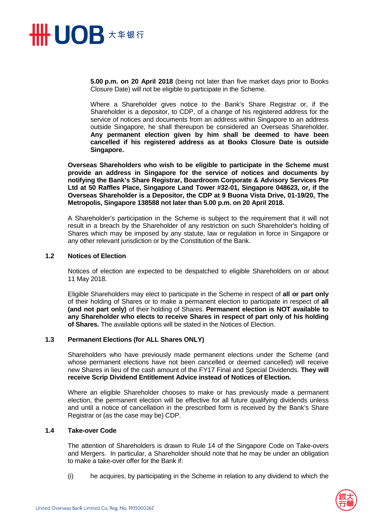

**5.00 p.m. on 20 April 2018** (being not later than five market days prior to Books Closure Date) will not be eligible to participate in the Scheme.

Where a Shareholder gives notice to the Bank's Share Registrar or, if the Shareholder is a depositor, to CDP, of a change of his registered address for the service of notices and documents from an address within Singapore to an address outside Singapore, he shall thereupon be considered an Overseas Shareholder. **Any permanent election given by him shall be deemed to have been cancelled if his registered address as at Books Closure Date is outside Singapore.** 

**Overseas Shareholders who wish to be eligible to participate in the Scheme must provide an address in Singapore for the service of notices and documents by notifying the Bank's Share Registrar, Boardroom Corporate & Advisory Services Pte Ltd at 50 Raffles Place, Singapore Land Tower #32-01, Singapore 048623, or, if the Overseas Shareholder is a Depositor, the CDP at 9 Buona Vista Drive, 01-19/20, The Metropolis, Singapore 138588 not later than 5.00 p.m. on 20 April 2018.** 

A Shareholder's participation in the Scheme is subject to the requirement that it will not result in a breach by the Shareholder of any restriction on such Shareholder's holding of Shares which may be imposed by any statute, law or regulation in force in Singapore or any other relevant jurisdiction or by the Constitution of the Bank.

#### **1.2 Notices of Election**

Notices of election are expected to be despatched to eligible Shareholders on or about 11 May 2018.

Eligible Shareholders may elect to participate in the Scheme in respect of **all or part only**  of their holding of Shares or to make a permanent election to participate in respect of **all (and not part only)** of their holding of Shares. **Permanent election is NOT available to any Shareholder who elects to receive Shares in respect of part only of his holding of Shares.** The available options will be stated in the Notices of Election.

#### **1.3 Permanent Elections (for ALL Shares ONLY)**

Shareholders who have previously made permanent elections under the Scheme (and whose permanent elections have not been cancelled or deemed cancelled) will receive new Shares in lieu of the cash amount of the FY17 Final and Special Dividends. **They will receive Scrip Dividend Entitlement Advice instead of Notices of Election.**

Where an eligible Shareholder chooses to make or has previously made a permanent election, the permanent election will be effective for all future qualifying dividends unless and until a notice of cancellation in the prescribed form is received by the Bank's Share Registrar or (as the case may be) CDP.

## **1.4 Take-over Code**

The attention of Shareholders is drawn to Rule 14 of the Singapore Code on Take-overs and Mergers. In particular, a Shareholder should note that he may be under an obligation to make a take-over offer for the Bank if:

(i) he acquires, by participating in the Scheme in relation to any dividend to which the

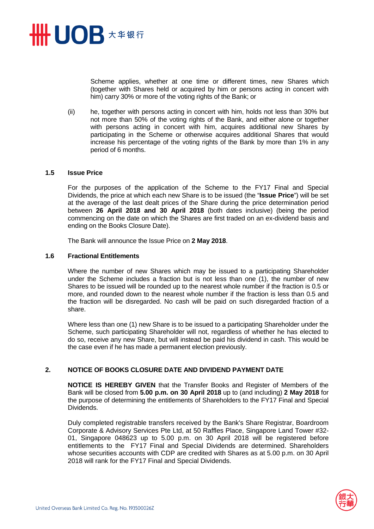

Scheme applies, whether at one time or different times, new Shares which (together with Shares held or acquired by him or persons acting in concert with him) carry 30% or more of the voting rights of the Bank; or

(ii) he, together with persons acting in concert with him, holds not less than 30% but not more than 50% of the voting rights of the Bank, and either alone or together with persons acting in concert with him, acquires additional new Shares by participating in the Scheme or otherwise acquires additional Shares that would increase his percentage of the voting rights of the Bank by more than 1% in any period of 6 months.

#### **1.5 Issue Price**

For the purposes of the application of the Scheme to the FY17 Final and Special Dividends, the price at which each new Share is to be issued (the "**Issue Price**") will be set at the average of the last dealt prices of the Share during the price determination period between **26 April 2018 and 30 April 2018** (both dates inclusive) (being the period commencing on the date on which the Shares are first traded on an ex-dividend basis and ending on the Books Closure Date).

The Bank will announce the Issue Price on **2 May 2018**.

#### **1.6 Fractional Entitlements**

Where the number of new Shares which may be issued to a participating Shareholder under the Scheme includes a fraction but is not less than one (1), the number of new Shares to be issued will be rounded up to the nearest whole number if the fraction is 0.5 or more, and rounded down to the nearest whole number if the fraction is less than 0.5 and the fraction will be disregarded. No cash will be paid on such disregarded fraction of a share.

Where less than one (1) new Share is to be issued to a participating Shareholder under the Scheme, such participating Shareholder will not, regardless of whether he has elected to do so, receive any new Share, but will instead be paid his dividend in cash. This would be the case even if he has made a permanent election previously.

#### **2. NOTICE OF BOOKS CLOSURE DATE AND DIVIDEND PAYMENT DATE**

**NOTICE IS HEREBY GIVEN** that the Transfer Books and Register of Members of the Bank will be closed from **5.00 p.m. on 30 April 2018** up to (and including) **2 May 2018** for the purpose of determining the entitlements of Shareholders to the FY17 Final and Special Dividends.

Duly completed registrable transfers received by the Bank's Share Registrar, Boardroom Corporate & Advisory Services Pte Ltd, at 50 Raffles Place, Singapore Land Tower #32- 01, Singapore 048623 up to 5.00 p.m. on 30 April 2018 will be registered before entitlements to the FY17 Final and Special Dividends are determined. Shareholders whose securities accounts with CDP are credited with Shares as at 5.00 p.m. on 30 April 2018 will rank for the FY17 Final and Special Dividends.